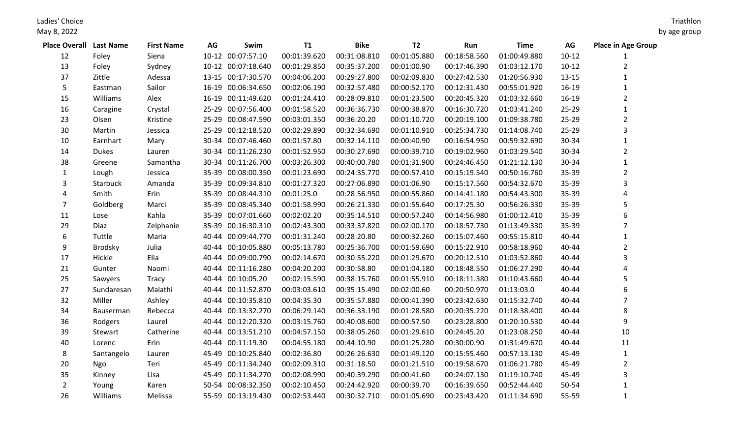Ladies' Choice

May 8, 2022

| <b>Place Overall Last Name</b> |              | <b>First Name</b> | AG | Swim               | <b>T1</b>    | <b>Bike</b>  | T <sub>2</sub> | Run          | <b>Time</b>  | AG        | <b>Place in Age Group</b> |
|--------------------------------|--------------|-------------------|----|--------------------|--------------|--------------|----------------|--------------|--------------|-----------|---------------------------|
| 12                             | Foley        | Siena             |    | 10-12 00:07:57.10  | 00:01:39.620 | 00:31:08.810 | 00:01:05.880   | 00:18:58.560 | 01:00:49.880 | $10 - 12$ | 1                         |
| 13                             | Foley        | Sydney            |    | 10-12 00:07:18.640 | 00:01:29.850 | 00:35:37.200 | 00:01:00.90    | 00:17:46.390 | 01:03:12.170 | $10-12$   | $\overline{2}$            |
| 37                             | Zittle       | Adessa            |    | 13-15 00:17:30.570 | 00:04:06.200 | 00:29:27.800 | 00:02:09.830   | 00:27:42.530 | 01:20:56.930 | $13 - 15$ | $\mathbf{1}$              |
| 5                              | Eastman      | Sailor            |    | 16-19 00:06:34.650 | 00:02:06.190 | 00:32:57.480 | 00:00:52.170   | 00:12:31.430 | 00:55:01.920 | $16-19$   | $\mathbf{1}$              |
| 15                             | Williams     | Alex              |    | 16-19 00:11:49.620 | 00:01:24.410 | 00:28:09.810 | 00:01:23.500   | 00:20:45.320 | 01:03:32.660 | $16 - 19$ | $\overline{2}$            |
| 16                             | Caragine     | Crystal           |    | 25-29 00:07:56.400 | 00:01:58.520 | 00:36:36.730 | 00:00:38.870   | 00:16:30.720 | 01:03:41.240 | $25 - 29$ | $\mathbf{1}$              |
| 23                             | Olsen        | Kristine          |    | 25-29 00:08:47.590 | 00:03:01.350 | 00:36:20.20  | 00:01:10.720   | 00:20:19.100 | 01:09:38.780 | $25 - 29$ | $\overline{2}$            |
| 30                             | Martin       | Jessica           |    | 25-29 00:12:18.520 | 00:02:29.890 | 00:32:34.690 | 00:01:10.910   | 00:25:34.730 | 01:14:08.740 | $25 - 29$ | 3                         |
| 10                             | Earnhart     | Mary              |    | 30-34 00:07:46.460 | 00:01:57.80  | 00:32:14.110 | 00:00:40.90    | 00:16:54.950 | 00:59:32.690 | 30-34     | $\mathbf{1}$              |
| 14                             | <b>Dukes</b> | Lauren            |    | 30-34 00:11:26.230 | 00:01:52.950 | 00:30:27.690 | 00:00:39.710   | 00:19:02.960 | 01:03:29.540 | 30-34     | $\overline{2}$            |
| 38                             | Greene       | Samantha          |    | 30-34 00:11:26.700 | 00:03:26.300 | 00:40:00.780 | 00:01:31.900   | 00:24:46.450 | 01:21:12.130 | 30-34     | $\mathbf{1}$              |
| 1                              | Lough        | Jessica           |    | 35-39 00:08:00.350 | 00:01:23.690 | 00:24:35.770 | 00:00:57.410   | 00:15:19.540 | 00:50:16.760 | 35-39     | $\overline{2}$            |
| 3                              | Starbuck     | Amanda            |    | 35-39 00:09:34.810 | 00:01:27.320 | 00:27:06.890 | 00:01:06.90    | 00:15:17.560 | 00:54:32.670 | 35-39     | 3                         |
| 4                              | Smith        | Erin              |    | 35-39 00:08:44.310 | 00:01:25.0   | 00:28:56.950 | 00:00:55.860   | 00:14:41.180 | 00:54:43.300 | 35-39     | 4                         |
| 7                              | Goldberg     | Marci             |    | 35-39 00:08:45.340 | 00:01:58.990 | 00:26:21.330 | 00:01:55.640   | 00:17:25.30  | 00:56:26.330 | 35-39     | 5                         |
| 11                             | Lose         | Kahla             |    | 35-39 00:07:01.660 | 00:02:02.20  | 00:35:14.510 | 00:00:57.240   | 00:14:56.980 | 01:00:12.410 | 35-39     | 6                         |
| 29                             | Diaz         | Zelphanie         |    | 35-39 00:16:30.310 | 00:02:43.300 | 00:33:37.820 | 00:02:00.170   | 00:18:57.730 | 01:13:49.330 | 35-39     | $\overline{7}$            |
| 6                              | Tuttle       | Maria             |    | 40-44 00:09:44.770 | 00:01:31.240 | 00:28:20.80  | 00:00:32.260   | 00:15:07.460 | 00:55:15.810 | 40-44     | $\mathbf{1}$              |
| 9                              | Brodsky      | Julia             |    | 40-44 00:10:05.880 | 00:05:13.780 | 00:25:36.700 | 00:01:59.690   | 00:15:22.910 | 00:58:18.960 | 40-44     | $\overline{2}$            |
| 17                             | Hickie       | Elia              |    | 40-44 00:09:00.790 | 00:02:14.670 | 00:30:55.220 | 00:01:29.670   | 00:20:12.510 | 01:03:52.860 | 40-44     | 3                         |
| 21                             | Gunter       | Naomi             |    | 40-44 00:11:16.280 | 00:04:20.200 | 00:30:58.80  | 00:01:04.180   | 00:18:48.550 | 01:06:27.290 | 40-44     | 4                         |
| 25                             | Sawyers      | Tracy             |    | 40-44 00:10:05.20  | 00:02:15.590 | 00:38:15.760 | 00:01:55.910   | 00:18:11.380 | 01:10:43.660 | 40-44     | 5                         |
| 27                             | Sundaresan   | Malathi           |    | 40-44 00:11:52.870 | 00:03:03.610 | 00:35:15.490 | 00:02:00.60    | 00:20:50.970 | 01:13:03.0   | 40-44     | 6                         |
| 32                             | Miller       | Ashley            |    | 40-44 00:10:35.810 | 00:04:35.30  | 00:35:57.880 | 00:00:41.390   | 00:23:42.630 | 01:15:32.740 | 40-44     | 7                         |
| 34                             | Bauserman    | Rebecca           |    | 40-44 00:13:32.270 | 00:06:29.140 | 00:36:33.190 | 00:01:28.580   | 00:20:35.220 | 01:18:38.400 | 40-44     | 8                         |
| 36                             | Rodgers      | Laurel            |    | 40-44 00:12:20.320 | 00:03:15.760 | 00:40:08.600 | 00:00:57.50    | 00:23:28.800 | 01:20:10.530 | 40-44     | 9                         |
| 39                             | Stewart      | Catherine         |    | 40-44 00:13:51.210 | 00:04:57.150 | 00:38:05.260 | 00:01:29.610   | 00:24:45.20  | 01:23:08.250 | 40-44     | 10                        |
| 40                             | Lorenc       | Erin              |    | 40-44 00:11:19.30  | 00:04:55.180 | 00:44:10.90  | 00:01:25.280   | 00:30:00.90  | 01:31:49.670 | 40-44     | 11                        |
| 8                              | Santangelo   | Lauren            |    | 45-49 00:10:25.840 | 00:02:36.80  | 00:26:26.630 | 00:01:49.120   | 00:15:55.460 | 00:57:13.130 | 45-49     | $\mathbf{1}$              |
| 20                             | Ngo          | Teri              |    | 45-49 00:11:34.240 | 00:02:09.310 | 00:31:18.50  | 00:01:21.510   | 00:19:58.670 | 01:06:21.780 | 45-49     | $\overline{2}$            |
| 35                             | Kinney       | Lisa              |    | 45-49 00:11:34.270 | 00:02:08.990 | 00:40:39.290 | 00:00:41.60    | 00:24:07.130 | 01:19:10.740 | 45-49     | 3                         |
| $\overline{2}$                 | Young        | Karen             |    | 50-54 00:08:32.350 | 00:02:10.450 | 00:24:42.920 | 00:00:39.70    | 00:16:39.650 | 00:52:44.440 | 50-54     | 1                         |
| 26                             | Williams     | Melissa           |    | 55-59 00:13:19.430 | 00:02:53.440 | 00:30:32.710 | 00:01:05.690   | 00:23:43.420 | 01:11:34.690 | 55-59     | $\mathbf{1}$              |